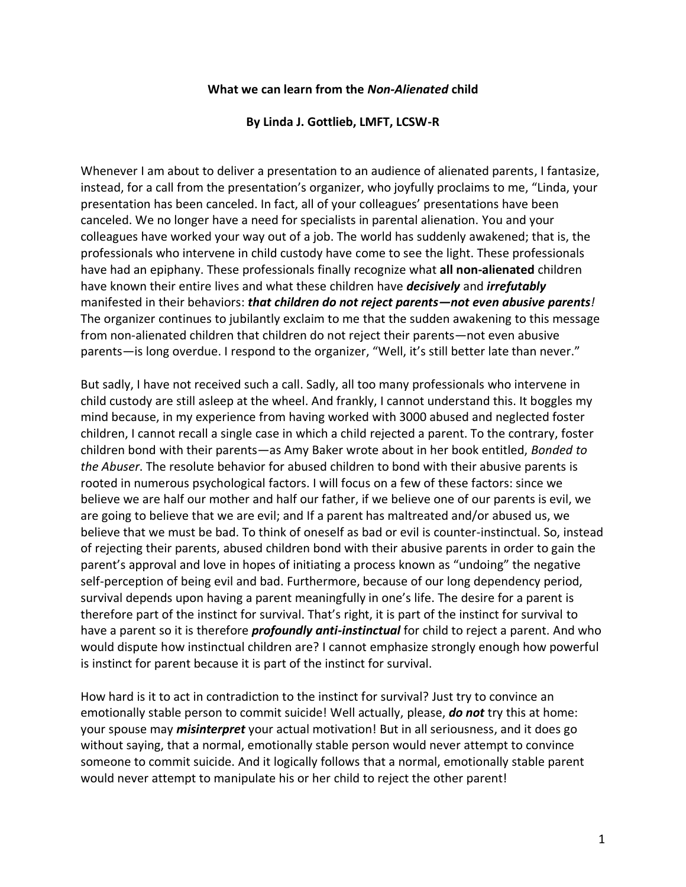## **What we can learn from the** *Non-Alienated* **child**

## **By Linda J. Gottlieb, LMFT, LCSW-R**

Whenever I am about to deliver a presentation to an audience of alienated parents, I fantasize, instead, for a call from the presentation's organizer, who joyfully proclaims to me, "Linda, your presentation has been canceled. In fact, all of your colleagues' presentations have been canceled. We no longer have a need for specialists in parental alienation. You and your colleagues have worked your way out of a job. The world has suddenly awakened; that is, the professionals who intervene in child custody have come to see the light. These professionals have had an epiphany. These professionals finally recognize what **all non-alienated** children have known their entire lives and what these children have *decisively* and *irrefutably* manifested in their behaviors: *that children do not reject parents—not even abusive parents!* The organizer continues to jubilantly exclaim to me that the sudden awakening to this message from non-alienated children that children do not reject their parents—not even abusive parents—is long overdue. I respond to the organizer, "Well, it's still better late than never."

But sadly, I have not received such a call. Sadly, all too many professionals who intervene in child custody are still asleep at the wheel. And frankly, I cannot understand this. It boggles my mind because, in my experience from having worked with 3000 abused and neglected foster children, I cannot recall a single case in which a child rejected a parent. To the contrary, foster children bond with their parents—as Amy Baker wrote about in her book entitled, *Bonded to the Abuser*. The resolute behavior for abused children to bond with their abusive parents is rooted in numerous psychological factors. I will focus on a few of these factors: since we believe we are half our mother and half our father, if we believe one of our parents is evil, we are going to believe that we are evil; and If a parent has maltreated and/or abused us, we believe that we must be bad. To think of oneself as bad or evil is counter-instinctual. So, instead of rejecting their parents, abused children bond with their abusive parents in order to gain the parent's approval and love in hopes of initiating a process known as "undoing" the negative self-perception of being evil and bad. Furthermore, because of our long dependency period, survival depends upon having a parent meaningfully in one's life. The desire for a parent is therefore part of the instinct for survival. That's right, it is part of the instinct for survival to have a parent so it is therefore *profoundly anti-instinctual* for child to reject a parent. And who would dispute how instinctual children are? I cannot emphasize strongly enough how powerful is instinct for parent because it is part of the instinct for survival.

How hard is it to act in contradiction to the instinct for survival? Just try to convince an emotionally stable person to commit suicide! Well actually, please, *do not* try this at home: your spouse may *misinterpret* your actual motivation! But in all seriousness, and it does go without saying, that a normal, emotionally stable person would never attempt to convince someone to commit suicide. And it logically follows that a normal, emotionally stable parent would never attempt to manipulate his or her child to reject the other parent!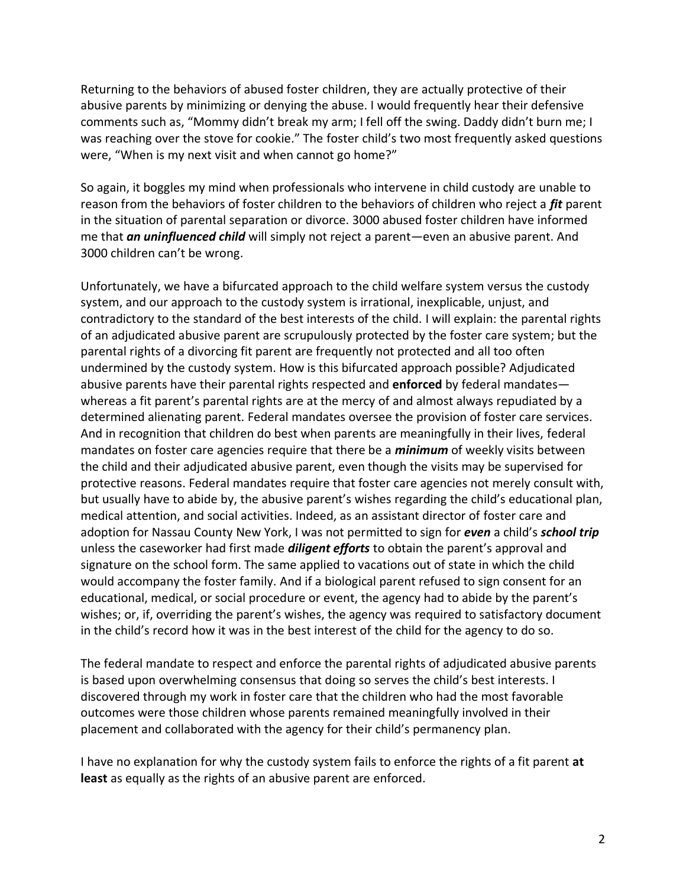Returning to the behaviors of abused foster children, they are actually protective of their abusive parents by minimizing or denying the abuse. I would frequently hear their defensive comments such as, "Mommy didn't break my arm; I fell off the swing. Daddy didn't burn me; I was reaching over the stove for cookie." The foster child's two most frequently asked questions were, "When is my next visit and when cannot go home?"

So again, it boggles my mind when professionals who intervene in child custody are unable to reason from the behaviors of foster children to the behaviors of children who reject a *fit* parent in the situation of parental separation or divorce. 3000 abused foster children have informed me that *an uninfluenced child* will simply not reject a parent—even an abusive parent. And 3000 children can't be wrong.

Unfortunately, we have a bifurcated approach to the child welfare system versus the custody system, and our approach to the custody system is irrational, inexplicable, unjust, and contradictory to the standard of the best interests of the child. I will explain: the parental rights of an adjudicated abusive parent are scrupulously protected by the foster care system; but the parental rights of a divorcing fit parent are frequently not protected and all too often undermined by the custody system. How is this bifurcated approach possible? Adjudicated abusive parents have their parental rights respected and **enforced** by federal mandates whereas a fit parent's parental rights are at the mercy of and almost always repudiated by a determined alienating parent. Federal mandates oversee the provision of foster care services. And in recognition that children do best when parents are meaningfully in their lives, federal mandates on foster care agencies require that there be a *minimum* of weekly visits between the child and their adjudicated abusive parent, even though the visits may be supervised for protective reasons. Federal mandates require that foster care agencies not merely consult with, but usually have to abide by, the abusive parent's wishes regarding the child's educational plan, medical attention, and social activities. Indeed, as an assistant director of foster care and adoption for Nassau County New York, I was not permitted to sign for *even* a child's *school trip* unless the caseworker had first made *diligent efforts* to obtain the parent's approval and signature on the school form. The same applied to vacations out of state in which the child would accompany the foster family. And if a biological parent refused to sign consent for an educational, medical, or social procedure or event, the agency had to abide by the parent's wishes; or, if, overriding the parent's wishes, the agency was required to satisfactory document in the child's record how it was in the best interest of the child for the agency to do so.

The federal mandate to respect and enforce the parental rights of adjudicated abusive parents is based upon overwhelming consensus that doing so serves the child's best interests. I discovered through my work in foster care that the children who had the most favorable outcomes were those children whose parents remained meaningfully involved in their placement and collaborated with the agency for their child's permanency plan.

I have no explanation for why the custody system fails to enforce the rights of a fit parent **at least** as equally as the rights of an abusive parent are enforced.